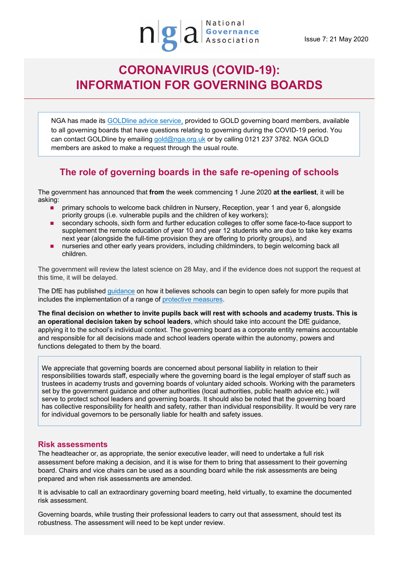## ngal Sovernance

### **CORONAVIRUS (COVID-19): INFORMATION FOR GOVERNING BOARDS**

NGA has made its [GOLDline advice service,](http://www.nga.org.uk/Membership/GOLDline-The-NGA-Advice-service.aspx) provided to GOLD governing board members, available to all governing boards that have questions relating to governing during the COVID-19 period. You can contact GOLDline by emailing [gold@nga.org.uk](mailto:gold@nga.org.uk) or by calling 0121 237 3782. NGA GOLD members are asked to make a request through the usual route.

### **The role of governing boards in the safe re-opening of schools**

The government has announced that **from** the week commencing 1 June 2020 **at the earliest**, it will be asking:

- **primary schools to welcome back children in Nursery, Reception, year 1 and year 6, alongside** priority groups (i.e. vulnerable pupils and the children of key workers);
- secondary schools, sixth form and further education colleges to offer some face-to-face support to supplement the remote education of year 10 and year 12 students who are due to take key exams next year (alongside the full-time provision they are offering to priority groups), and
- nurseries and other early years providers, including childminders, to begin welcoming back all children.

The government will review the latest science on 28 May, and if the evidence does not support the request at this time, it will be delayed.

The DfE has published <u>guidance</u> on how it believes schools can begin to open safely for more pupils that that that the state of the state of the state of the state of the state of the state of the state of the state of th includes the implementation of a range of [protective measures.](https://www.gov.uk/government/publications/actions-for-educational-and-childcare-settings-to-prepare-for-wider-opening-from-1-june-2020/actions-for-education-and-childcare-settings-to-prepare-for-wider-opening-from-1-june-2020)

**The final decision on whether to invite pupils back will rest with schools and academy trusts. This is an operational decision taken by school leaders**, which should take into account the DfE guidance, applying it to the school's individual context. The governing board as a corporate entity remains accountable and responsible for all decisions made and school leaders operate within the autonomy, powers and functions delegated to them by the board.

We appreciate that governing boards are concerned about personal liability in relation to their responsibilities towards staff, especially where the governing board is the legal employer of staff such as trustees in academy trusts and governing boards of voluntary aided schools. Working with the parameters set by the government guidance and other authorities (local authorities, public health advice etc.) will serve to protect school leaders and governing boards. It should also be noted that the governing board has collective responsibility for health and safety, rather than individual responsibility. It would be very rare for individual governors to be personally liable for health and safety issues.

#### **Risk assessments**

The headteacher or, as appropriate, the senior executive leader, will need to undertake a full risk assessment before making a decision, and it is wise for them to bring that assessment to their governing board. Chairs and vice chairs can be used as a sounding board while the risk assessments are being prepared and when risk assessments are amended.

It is advisable to call an extraordinary governing board meeting, held virtually, to examine the documented risk assessment.

Governing boards, while trusting their professional leaders to carry out that assessment, should test its robustness. The assessment will need to be kept under review.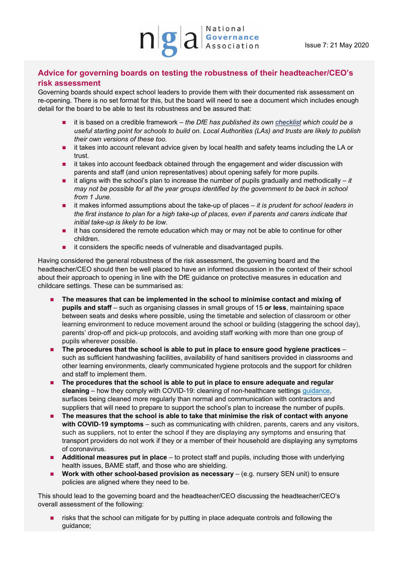# **ngales**

#### **Advice for governing boards on testing the robustness of their headteacher/CEO's risk assessment**

Governing boards should expect school leaders to provide them with their documented risk assessment on re-opening. There is no set format for this, but the board will need to see a document which includes enough detail for the board to be able to test its robustness and be assured that:

- it is based on a credible framework *the DfE has published its own [checklist](https://www.gov.uk/government/publications/actions-for-educational-and-childcare-settings-to-prepare-for-wider-opening-from-1-june-2020/opening-schools-for-more-children-and-young-people-initial-planning-framework-for-schools-in-england) which could be a useful starting point for schools to build on. Local Authorities (LAs) and trusts are likely to publish their own versions of these too.*
- it takes into account relevant advice given by local health and safety teams including the LA or trust.
- **in** it takes into account feedback obtained through the engagement and wider discussion with parents and staff (and union representatives) about opening safely for more pupils.
- $\blacksquare$  it aligns with the school's plan to increase the number of pupils gradually and methodically  $-i$  *it may not be possible for all the year groups identified by the government to be back in school from 1 June.*
- it makes informed assumptions about the take-up of places *it is prudent for school leaders in the first instance to plan for a high take-up of places, even if parents and carers indicate that initial take-up is likely to be low.*
- $\blacksquare$  it has considered the remote education which may or may not be able to continue for other children.
- **i** it considers the specific needs of vulnerable and disadvantaged pupils.

Having considered the general robustness of the risk assessment, the governing board and the headteacher/CEO should then be well placed to have an informed discussion in the context of their school about their approach to opening in line with the DfE guidance on protective measures in education and childcare settings. These can be summarised as:

- $\overline{a}$ ■ The measures that can be implemented in the school to minimise contact and mixing of **pupils and staff** – such as organising classes in small groups of 15 **or less**, maintaining space between seats and desks where possible, using the timetable and selection of classroom or other learning environment to reduce movement around the school or building (staggering the school day), parents' drop-off and pick-up protocols, and avoiding staff working with more than one group of pupils wherever possible.
- **The procedures that the school is able to put in place to ensure good hygiene practices** such as sufficient handwashing facilities, availability of hand sanitisers provided in classrooms and other learning environments, clearly communicated hygiene protocols and the support for children and staff to implement them.
- **The procedures that the school is able to put in place to ensure adequate and regular cleaning** – how they comply with COVID-19: cleaning of non-healthcare settings [guidance,](https://www.gov.uk/government/publications/covid-19-decontamination-in-non-healthcare-settings) surfaces being cleaned more regularly than normal and communication with contractors and suppliers that will need to prepare to support the school's plan to increase the number of pupils.
- **The measures that the school is able to take that minimise the risk of contact with anyone with COVID**-**19 symptoms** – such as communicating with children, parents, carers and any visitors, such as suppliers, not to enter the school if they are displaying any symptoms and ensuring that transport providers do not work if they or a member of their household are displaying any symptoms of coronavirus.
- **Additional measures put in place** to protect staff and pupils, including those with underlying health issues, BAME staff, and those who are shielding.
- **Work with other school-based provision as necessary** (e.g. nursery SEN unit) to ensure policies are aligned where they need to be.

This should lead to the governing board and the headteacher/CEO discussing the headteacher/CEO's overall assessment of the following:

 risks that the school can mitigate for by putting in place adequate controls and following the guidance;